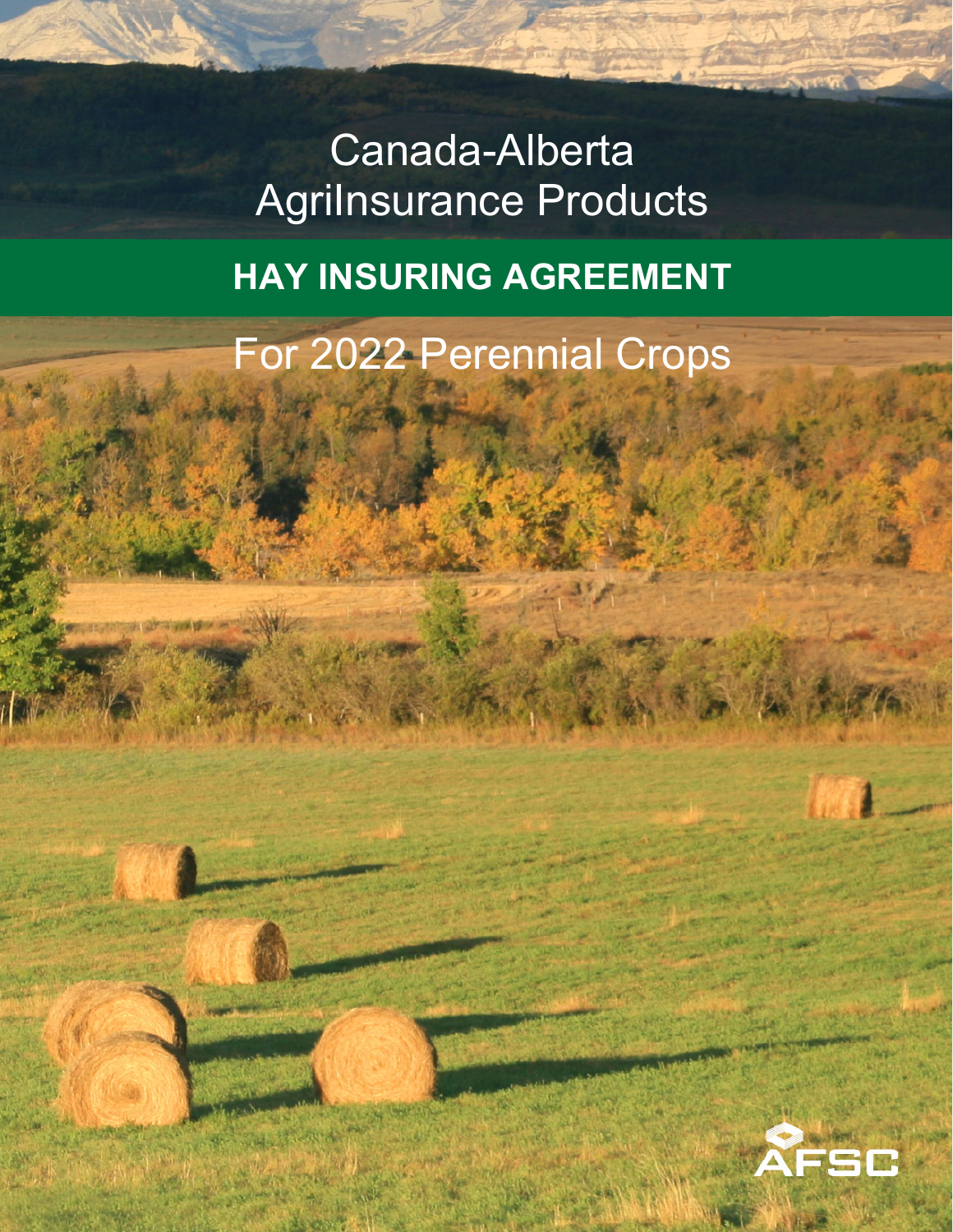# Canada-Alberta **AgriInsurance Products**

## **HAY INSURING AGREEMENT**

For 2022 Perennial Crops

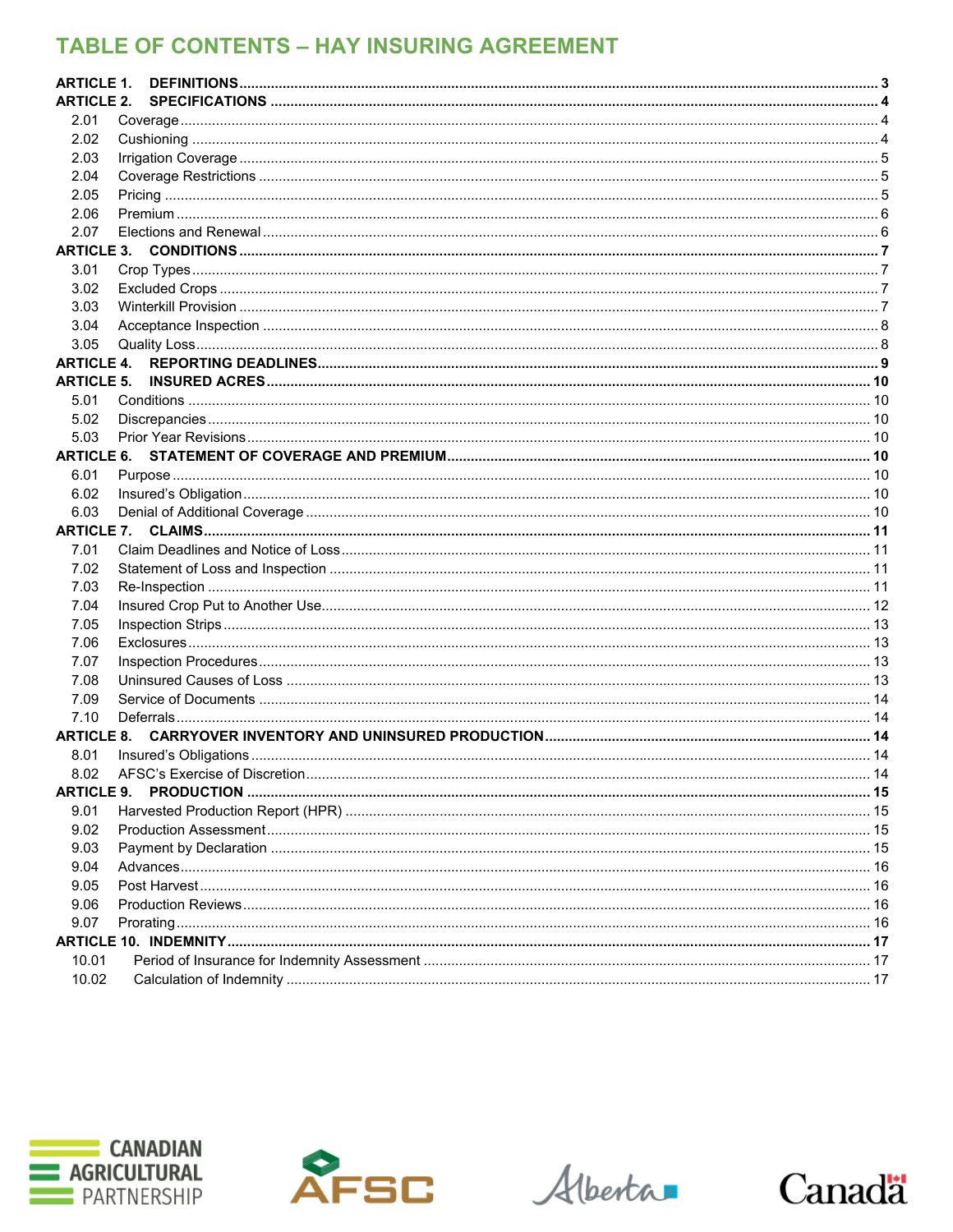## **TABLE OF CONTENTS - HAY INSURING AGREEMENT**

| <b>ARTICLE 1.</b> |  |
|-------------------|--|
| <b>ARTICLE 2.</b> |  |
| 2.01              |  |
| 2.02              |  |
| 2.03              |  |
| 2.04              |  |
| 2.05              |  |
| 2.06              |  |
| 2.07              |  |
|                   |  |
| 3.01              |  |
| 3.02              |  |
| 3.03              |  |
| 3.04              |  |
| 3.05              |  |
| <b>ARTICLE 4.</b> |  |
| <b>ARTICLE 5.</b> |  |
| 5.01              |  |
| 5.02              |  |
| 5.03              |  |
|                   |  |
| 6.01              |  |
| 6.02              |  |
| 6.03              |  |
|                   |  |
| 7.01              |  |
| 7.02              |  |
| 7.03              |  |
| 7.04              |  |
| 7.05              |  |
| 7.06              |  |
| 7.07              |  |
| 7.08              |  |
| 7.09              |  |
| 7.10              |  |
| <b>ARTICLE 8.</b> |  |
| 8.01              |  |
| 8.02              |  |
| <b>ARTICLE 9.</b> |  |
| 9.01              |  |
| 9.02              |  |
| 9.03              |  |
| 9.04              |  |
| 9.05              |  |
| 9.06              |  |
| 9.07              |  |
|                   |  |
| 10.01             |  |
| 10.02             |  |





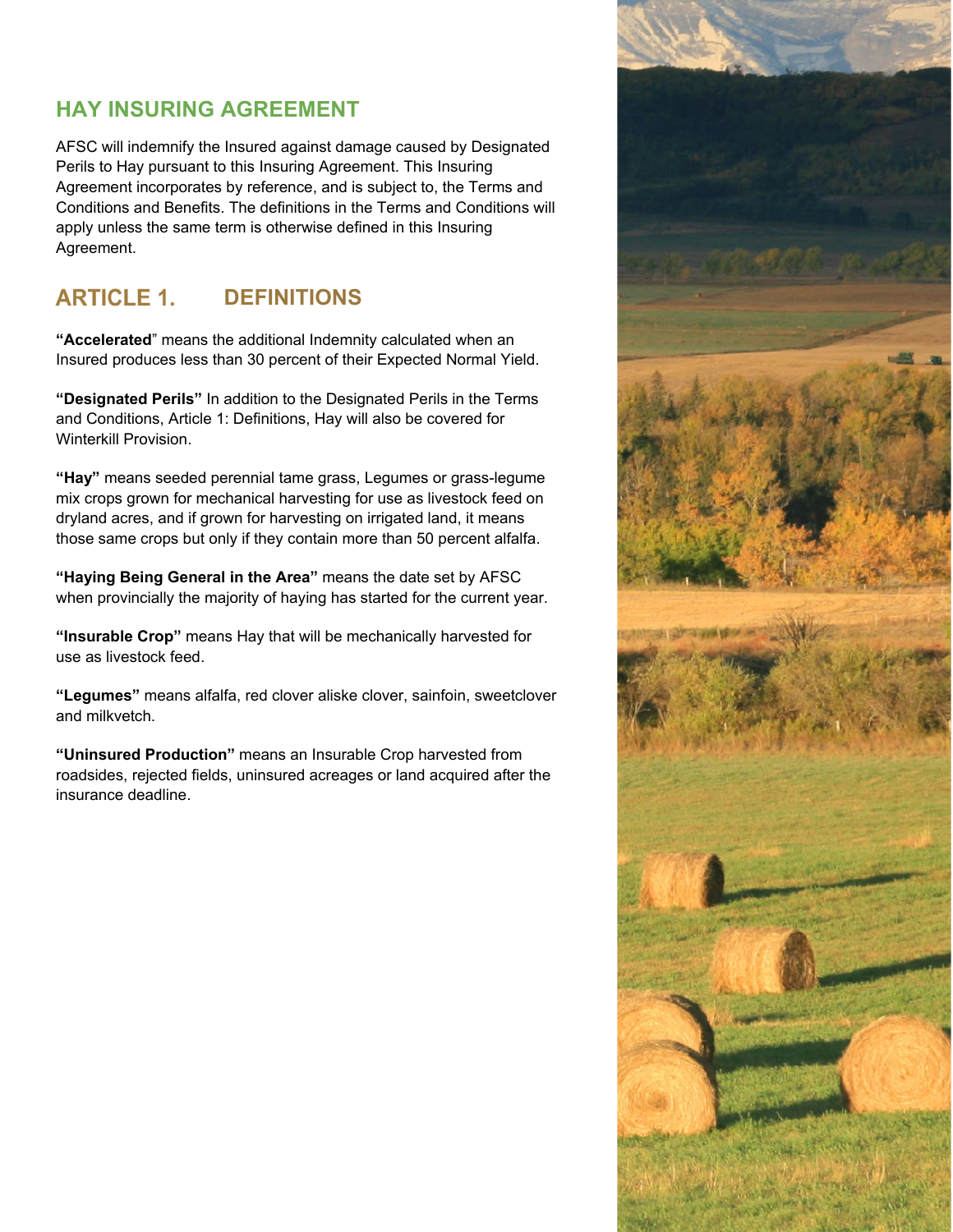## **HAY INSURING AGREEMENT**

AFSC will indemnify the Insured against damage caused by Designated Perils to Hay pursuant to this Insuring Agreement. This Insuring Agreement incorporates by reference, and is subject to, the Terms and Conditions and Benefits. The definitions in the Terms and Conditions will apply unless the same term is otherwise defined in this Insuring Agreement.

## **ARTICLE 1. DEFINITIONS**

**"Accelerated**" means the additional Indemnity calculated when an Insured produces less than 30 percent of their Expected Normal Yield.

**"Designated Perils"** In addition to the Designated Perils in the Terms and Conditions, Article 1: Definitions, Hay will also be covered for Winterkill Provision.

**"Hay"** means seeded perennial tame grass, Legumes or grass-legume mix crops grown for mechanical harvesting for use as livestock feed on dryland acres, and if grown for harvesting on irrigated land, it means those same crops but only if they contain more than 50 percent alfalfa.

**"Haying Being General in the Area"** means the date set by AFSC when provincially the majority of haying has started for the current year.

**"Insurable Crop"** means Hay that will be mechanically harvested for use as livestock feed.

**"Legumes"** means alfalfa, red clover aliske clover, sainfoin, sweetclover and milkvetch.

**"Uninsured Production"** means an Insurable Crop harvested from roadsides, rejected fields, uninsured acreages or land acquired after the insurance deadline.

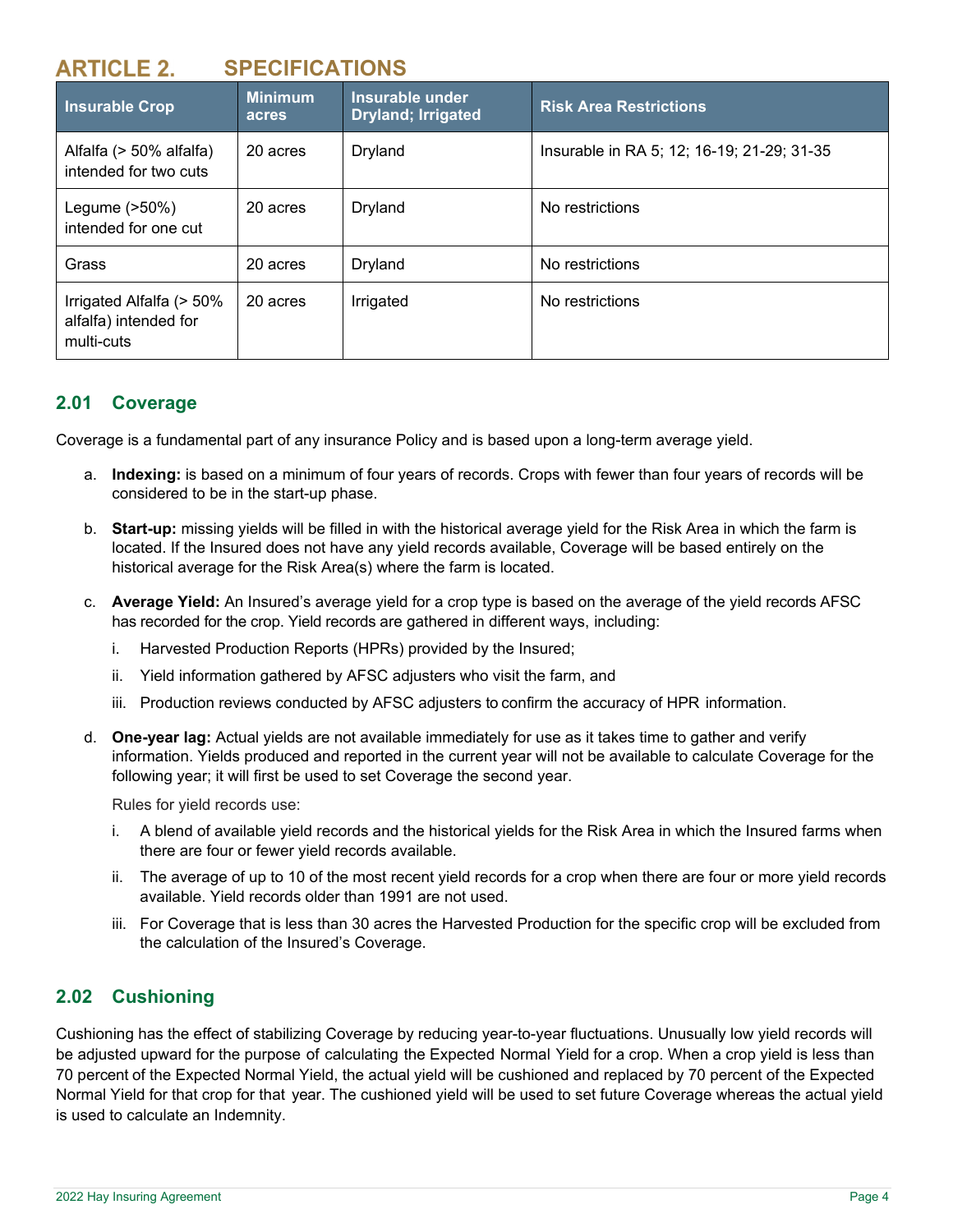## **SPECIFICATIONS**

| <b>Insurable Crop</b>                                           | <b>Minimum</b><br>acres | Insurable under<br><b>Dryland; Irrigated</b> | <b>Risk Area Restrictions</b>              |
|-----------------------------------------------------------------|-------------------------|----------------------------------------------|--------------------------------------------|
| Alfalfa (> 50% alfalfa)<br>intended for two cuts                | 20 acres                | Dryland                                      | Insurable in RA 5; 12; 16-19; 21-29; 31-35 |
| Legume (>50%)<br>intended for one cut                           | 20 acres                | Dryland                                      | No restrictions                            |
| Grass                                                           | 20 acres                | Dryland                                      | No restrictions                            |
| Irrigated Alfalfa (> 50%<br>alfalfa) intended for<br>multi-cuts | 20 acres                | Irrigated                                    | No restrictions                            |

## **2.01 Coverage**

Coverage is a fundamental part of any insurance Policy and is based upon a long-term average yield.

- a. **Indexing:** is based on a minimum of four years of records. Crops with fewer than four years of records will be considered to be in the start-up phase.
- b. **Start-up:** missing yields will be filled in with the historical average yield for the Risk Area in which the farm is located. If the Insured does not have any yield records available, Coverage will be based entirely on the historical average for the Risk Area(s) where the farm is located.
- c. **Average Yield:** An Insured's average yield for a crop type is based on the average of the yield records AFSC has recorded for the crop. Yield records are gathered in different ways, including:
	- i. Harvested Production Reports (HPRs) provided by the Insured;
	- ii. Yield information gathered by AFSC adjusters who visit the farm, and
	- iii. Production reviews conducted by AFSC adjusters to confirm the accuracy of HPR information.
- d. **One-year lag:** Actual yields are not available immediately for use as it takes time to gather and verify information. Yields produced and reported in the current year will not be available to calculate Coverage for the following year; it will first be used to set Coverage the second year.

Rules for yield records use:

- i. A blend of available yield records and the historical yields for the Risk Area in which the Insured farms when there are four or fewer yield records available.
- ii. The average of up to 10 of the most recent yield records for a crop when there are four or more yield records available. Yield records older than 1991 are not used.
- iii. For Coverage that is less than 30 acres the Harvested Production for the specific crop will be excluded from the calculation of the Insured's Coverage.

## **2.02 Cushioning**

Cushioning has the effect of stabilizing Coverage by reducing year-to-year fluctuations. Unusually low yield records will be adjusted upward for the purpose of calculating the Expected Normal Yield for a crop. When a crop yield is less than 70 percent of the Expected Normal Yield, the actual yield will be cushioned and replaced by 70 percent of the Expected Normal Yield for that crop for that year. The cushioned yield will be used to set future Coverage whereas the actual yield is used to calculate an Indemnity.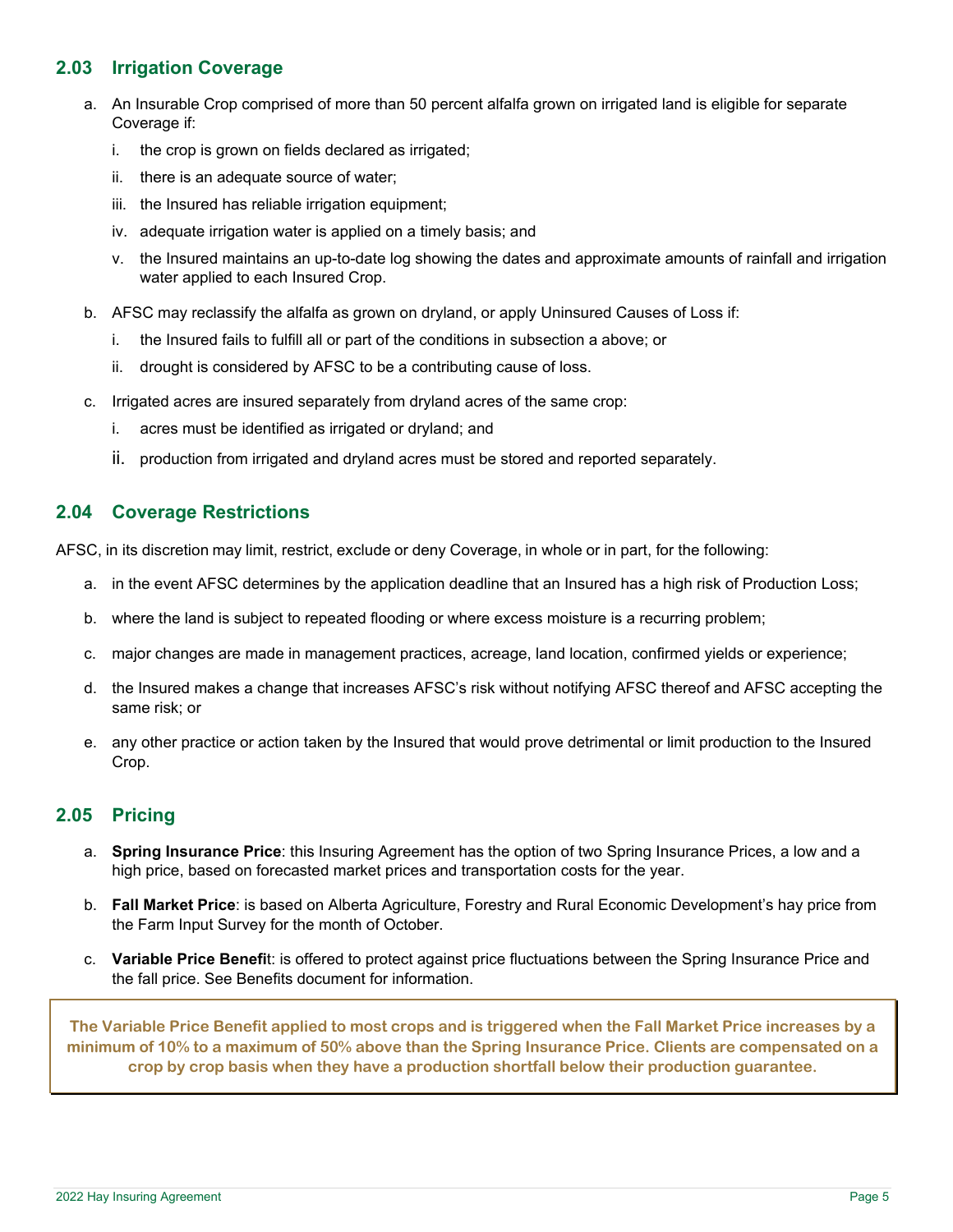## **2.03 Irrigation Coverage**

- a. An Insurable Crop comprised of more than 50 percent alfalfa grown on irrigated land is eligible for separate Coverage if:
	- i. the crop is grown on fields declared as irrigated;
	- ii. there is an adequate source of water;
	- iii. the Insured has reliable irrigation equipment;
	- iv. adequate irrigation water is applied on a timely basis; and
	- v. the Insured maintains an up-to-date log showing the dates and approximate amounts of rainfall and irrigation water applied to each Insured Crop.
- b. AFSC may reclassify the alfalfa as grown on dryland, or apply Uninsured Causes of Loss if:
	- i. the Insured fails to fulfill all or part of the conditions in subsection a above; or
	- ii. drought is considered by AFSC to be a contributing cause of loss.
- c. Irrigated acres are insured separately from dryland acres of the same crop:
	- i. acres must be identified as irrigated or dryland; and
	- ii. production from irrigated and dryland acres must be stored and reported separately.

## **2.04 Coverage Restrictions**

AFSC, in its discretion may limit, restrict, exclude or deny Coverage, in whole or in part, for the following:

- a. in the event AFSC determines by the application deadline that an Insured has a high risk of Production Loss;
- b. where the land is subject to repeated flooding or where excess moisture is a recurring problem;
- c. major changes are made in management practices, acreage, land location, confirmed yields or experience;
- d. the Insured makes a change that increases AFSC's risk without notifying AFSC thereof and AFSC accepting the same risk; or
- e. any other practice or action taken by the Insured that would prove detrimental or limit production to the Insured Crop.

## **2.05 Pricing**

- a. **Spring Insurance Price**: this Insuring Agreement has the option of two Spring Insurance Prices, a low and a high price, based on forecasted market prices and transportation costs for the year.
- b. **Fall Market Price**: is based on Alberta Agriculture, Forestry and Rural Economic Development's hay price from the Farm Input Survey for the month of October.
- c. **Variable Price Benefi**t: is offered to protect against price fluctuations between the Spring Insurance Price and the fall price. See Benefits document for information.

**The Variable Price Benefit applied to most crops and is triggered when the Fall Market Price increases by a minimum of 10% to a maximum of 50% above than the Spring Insurance Price. Clients are compensated on a crop by crop basis when they have a production shortfall below their production guarantee.**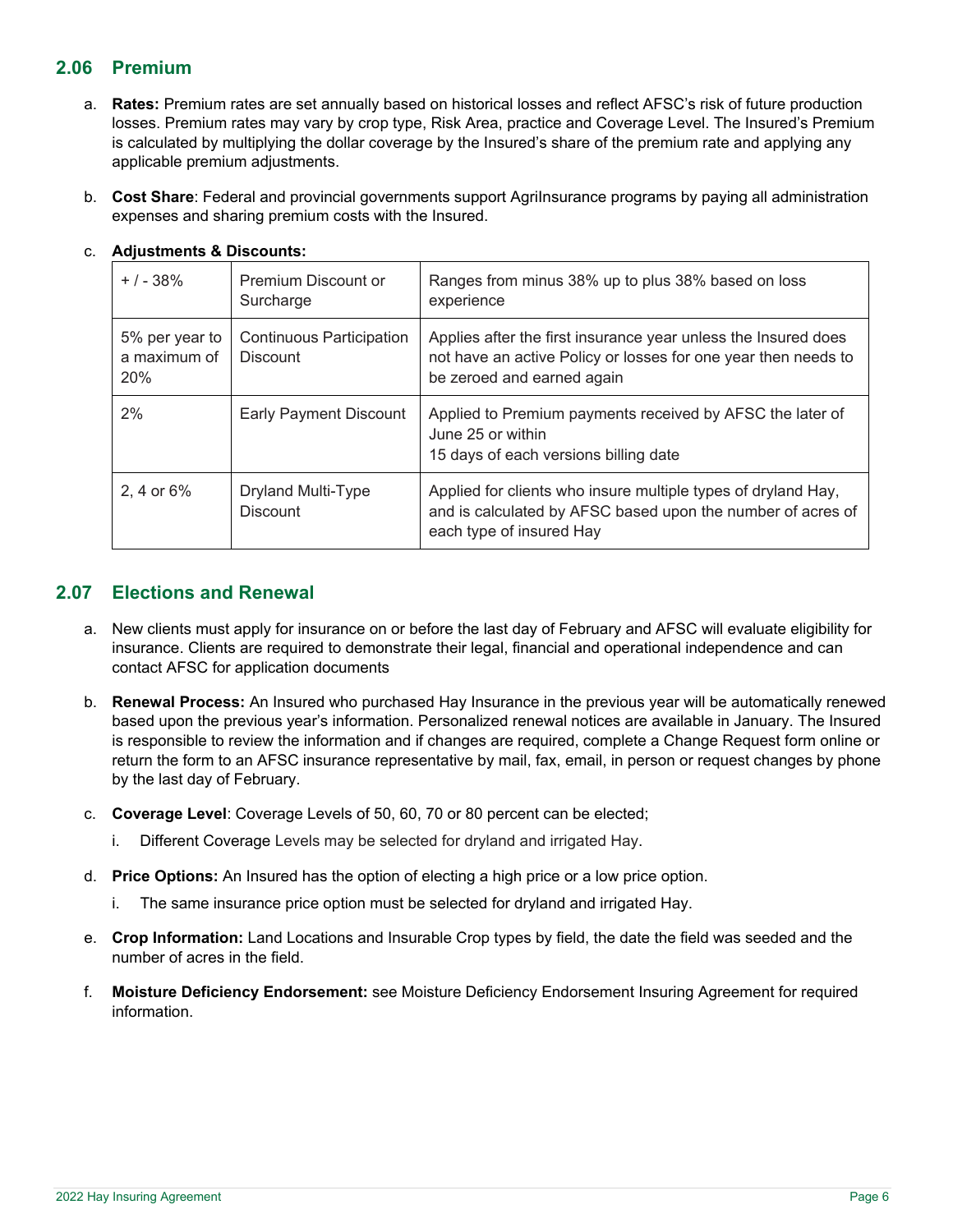## **2.06 Premium**

- a. **Rates:** Premium rates are set annually based on historical losses and reflect AFSC's risk of future production losses. Premium rates may vary by crop type, Risk Area, practice and Coverage Level. The Insured's Premium is calculated by multiplying the dollar coverage by the Insured's share of the premium rate and applying any applicable premium adjustments.
- b. **Cost Share**: Federal and provincial governments support AgriInsurance programs by paying all administration expenses and sharing premium costs with the Insured.

| $+$ / - 38%                           | Premium Discount or<br>Surcharge                   | Ranges from minus 38% up to plus 38% based on loss<br>experience                                                                                               |
|---------------------------------------|----------------------------------------------------|----------------------------------------------------------------------------------------------------------------------------------------------------------------|
| 5% per year to<br>a maximum of<br>20% | <b>Continuous Participation</b><br><b>Discount</b> | Applies after the first insurance year unless the Insured does<br>not have an active Policy or losses for one year then needs to<br>be zeroed and earned again |
| 2%                                    | Early Payment Discount                             | Applied to Premium payments received by AFSC the later of<br>June 25 or within<br>15 days of each versions billing date                                        |
| 2. 4 or $6\%$                         | Dryland Multi-Type<br><b>Discount</b>              | Applied for clients who insure multiple types of dryland Hay,<br>and is calculated by AFSC based upon the number of acres of<br>each type of insured Hay       |

#### c. **Adjustments & Discounts:**

## **2.07 Elections and Renewal**

- a. New clients must apply for insurance on or before the last day of February and AFSC will evaluate eligibility for insurance. Clients are required to demonstrate their legal, financial and operational independence and can contact AFSC for application documents
- b. **Renewal Process:** An Insured who purchased Hay Insurance in the previous year will be automatically renewed based upon the previous year's information. Personalized renewal notices are available in January. The Insured is responsible to review the information and if changes are required, complete a Change Request form online or return the form to an AFSC insurance representative by mail, fax, email, in person or request changes by phone by the last day of February.
- c. **Coverage Level**: Coverage Levels of 50, 60, 70 or 80 percent can be elected;
	- i. Different Coverage Levels may be selected for dryland and irrigated Hay.
- d. **Price Options:** An Insured has the option of electing a high price or a low price option.
	- i. The same insurance price option must be selected for dryland and irrigated Hay.
- e. **Crop Information:** Land Locations and Insurable Crop types by field, the date the field was seeded and the number of acres in the field.
- f. **Moisture Deficiency Endorsement:** see Moisture Deficiency Endorsement Insuring Agreement for required information.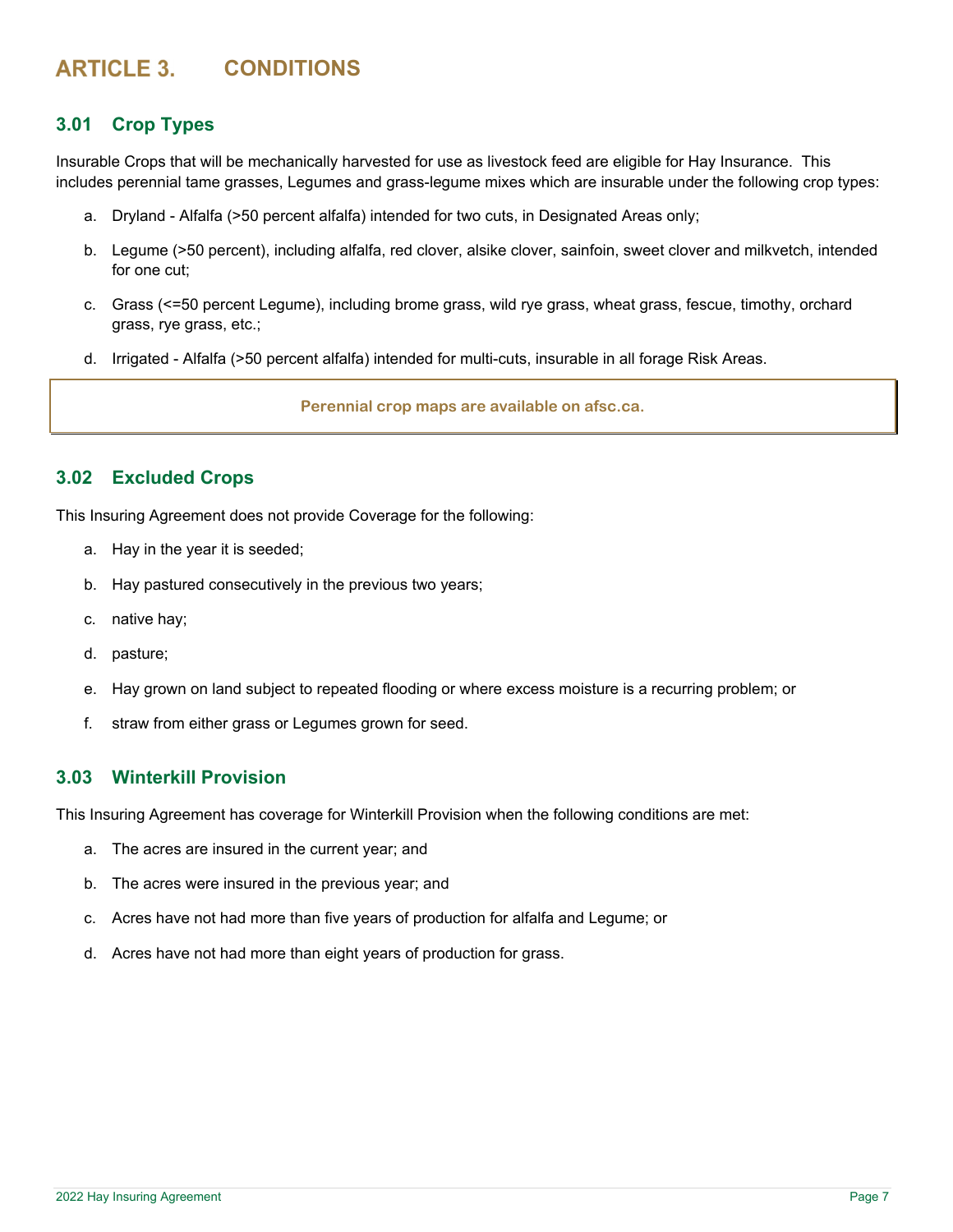## **ARTICLE 3. CONDITIONS**

## **3.01 Crop Types**

Insurable Crops that will be mechanically harvested for use as livestock feed are eligible for Hay Insurance. This includes perennial tame grasses, Legumes and grass-legume mixes which are insurable under the following crop types:

- a. Dryland Alfalfa (>50 percent alfalfa) intended for two cuts, in Designated Areas only;
- b. Legume (>50 percent), including alfalfa, red clover, alsike clover, sainfoin, sweet clover and milkvetch, intended for one cut;
- c. Grass (<=50 percent Legume), including brome grass, wild rye grass, wheat grass, fescue, timothy, orchard grass, rye grass, etc.;
- d. Irrigated Alfalfa (>50 percent alfalfa) intended for multi-cuts, insurable in all forage Risk Areas.

**Perennial crop maps are available on afsc.ca.** 

## **3.02 Excluded Crops**

This Insuring Agreement does not provide Coverage for the following:

- a. Hay in the year it is seeded;
- b. Hay pastured consecutively in the previous two years;
- c. native hay;
- d. pasture;
- e. Hay grown on land subject to repeated flooding or where excess moisture is a recurring problem; or
- f. straw from either grass or Legumes grown for seed.

## **3.03 Winterkill Provision**

This Insuring Agreement has coverage for Winterkill Provision when the following conditions are met:

- a. The acres are insured in the current year; and
- b. The acres were insured in the previous year; and
- c. Acres have not had more than five years of production for alfalfa and Legume; or
- d. Acres have not had more than eight years of production for grass.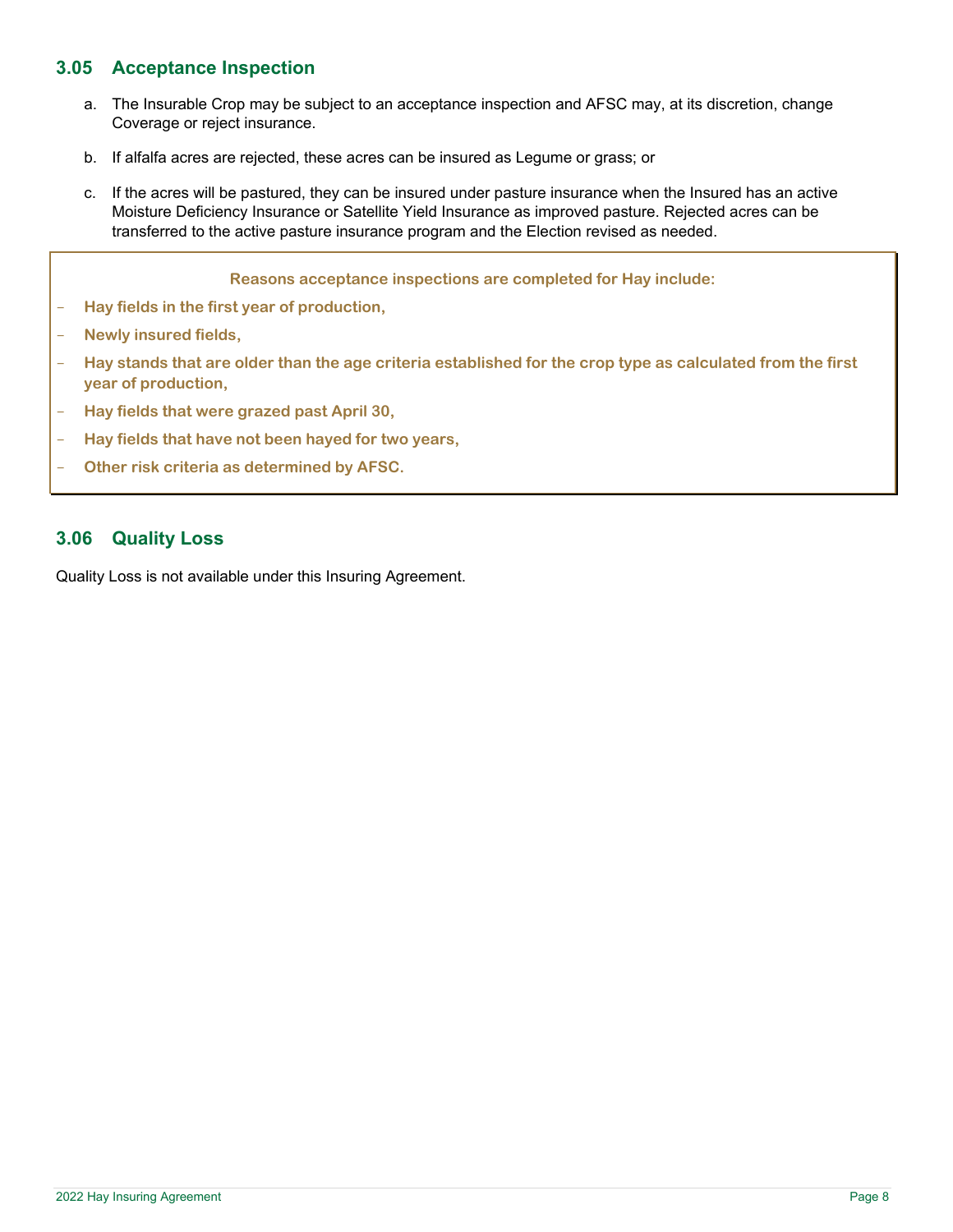## **3.05 Acceptance Inspection**

- a. The Insurable Crop may be subject to an acceptance inspection and AFSC may, at its discretion, change Coverage or reject insurance.
- b. If alfalfa acres are rejected, these acres can be insured as Legume or grass; or
- c. If the acres will be pastured, they can be insured under pasture insurance when the Insured has an active Moisture Deficiency Insurance or Satellite Yield Insurance as improved pasture. Rejected acres can be transferred to the active pasture insurance program and the Election revised as needed.

|                          | Reasons acceptance inspections are completed for Hay include:                                                                     |
|--------------------------|-----------------------------------------------------------------------------------------------------------------------------------|
| $\qquad \qquad -$        | Hay fields in the first year of production,                                                                                       |
| $\overline{\phantom{m}}$ | Newly insured fields,                                                                                                             |
|                          | Hay stands that are older than the age criteria established for the crop type as calculated from the first<br>year of production, |
| $\qquad \qquad -$        | Hay fields that were grazed past April 30,                                                                                        |
| $\qquad \qquad -$        | Hay fields that have not been hayed for two years,                                                                                |
| $\overline{\phantom{m}}$ | Other risk criteria as determined by AFSC.                                                                                        |

## **3.06 Quality Loss**

Quality Loss is not available under this Insuring Agreement.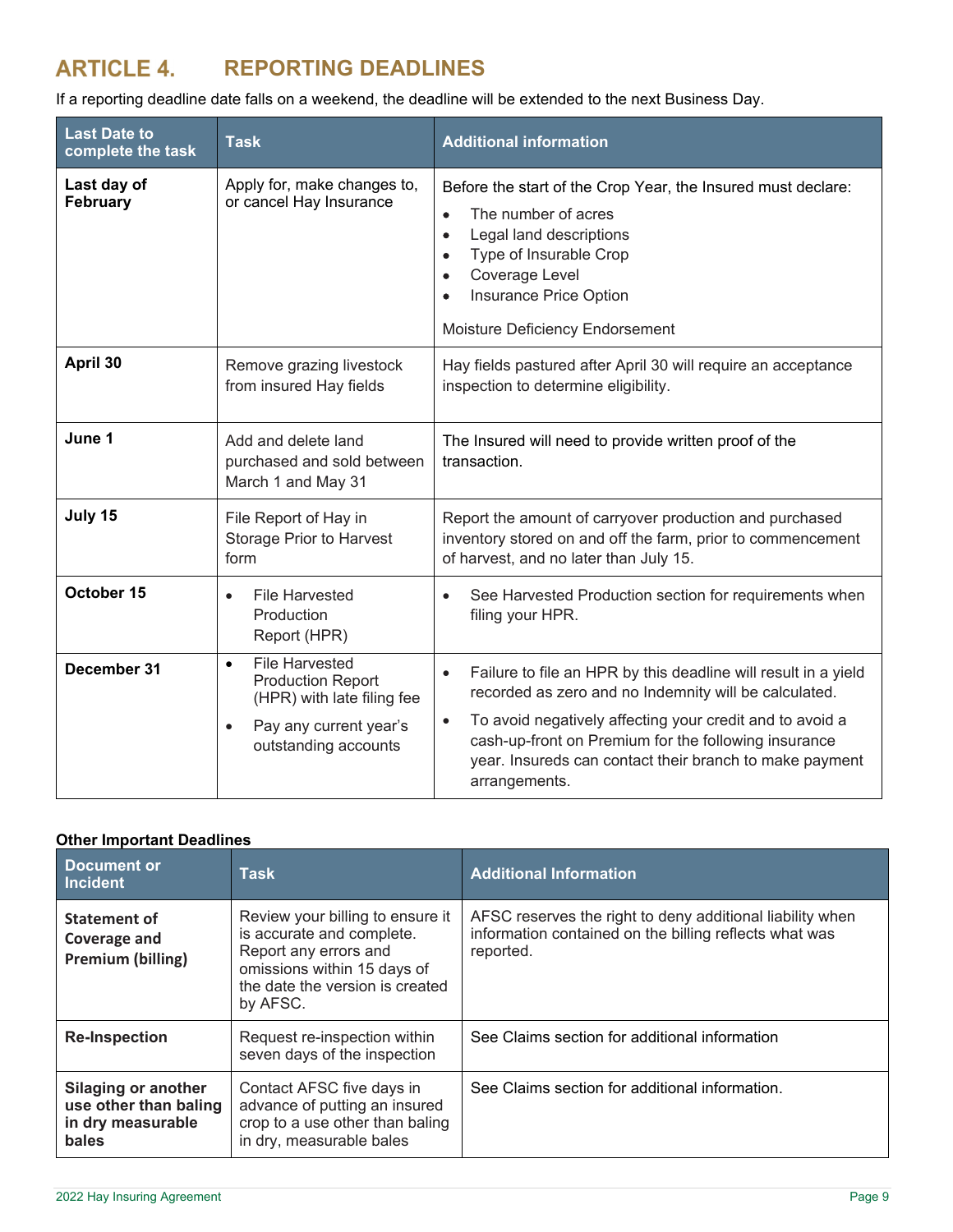## **REPORTING DEADLINES**

If a reporting deadline date falls on a weekend, the deadline will be extended to the next Business Day.

| <b>Last Date to</b><br>complete the task                             | <b>Task</b>                                                                                                                                    | <b>Additional information</b>                                                                                                                                                                                                                                                                                                                     |  |
|----------------------------------------------------------------------|------------------------------------------------------------------------------------------------------------------------------------------------|---------------------------------------------------------------------------------------------------------------------------------------------------------------------------------------------------------------------------------------------------------------------------------------------------------------------------------------------------|--|
| Last day of<br>February                                              | Apply for, make changes to,<br>or cancel Hay Insurance                                                                                         | Before the start of the Crop Year, the Insured must declare:<br>The number of acres<br>$\bullet$<br>Legal land descriptions<br>$\bullet$<br>Type of Insurable Crop<br>$\bullet$<br>Coverage Level<br>٠<br>Insurance Price Option<br>٠<br>Moisture Deficiency Endorsement                                                                          |  |
| April 30                                                             | Remove grazing livestock<br>from insured Hay fields                                                                                            | Hay fields pastured after April 30 will require an acceptance<br>inspection to determine eligibility.                                                                                                                                                                                                                                             |  |
| June 1                                                               | Add and delete land<br>purchased and sold between<br>March 1 and May 31                                                                        | The Insured will need to provide written proof of the<br>transaction.                                                                                                                                                                                                                                                                             |  |
| July 15<br>File Report of Hay in<br>Storage Prior to Harvest<br>form |                                                                                                                                                | Report the amount of carryover production and purchased<br>inventory stored on and off the farm, prior to commencement<br>of harvest, and no later than July 15.                                                                                                                                                                                  |  |
| October 15                                                           | <b>File Harvested</b><br>$\bullet$<br>Production<br>Report (HPR)                                                                               | See Harvested Production section for requirements when<br>$\bullet$<br>filing your HPR.                                                                                                                                                                                                                                                           |  |
| December 31                                                          | <b>File Harvested</b><br>$\bullet$<br><b>Production Report</b><br>(HPR) with late filing fee<br>Pay any current year's<br>outstanding accounts | Failure to file an HPR by this deadline will result in a yield<br>$\bullet$<br>recorded as zero and no Indemnity will be calculated.<br>To avoid negatively affecting your credit and to avoid a<br>$\bullet$<br>cash-up-front on Premium for the following insurance<br>year. Insureds can contact their branch to make payment<br>arrangements. |  |

## **Other Important Deadlines**

| Document or<br>Incident                                                           | Task                                                                                                                                                                 | <b>Additional Information</b>                                                                                                    |
|-----------------------------------------------------------------------------------|----------------------------------------------------------------------------------------------------------------------------------------------------------------------|----------------------------------------------------------------------------------------------------------------------------------|
| <b>Statement of</b><br>Coverage and<br>Premium (billing)                          | Review your billing to ensure it<br>is accurate and complete.<br>Report any errors and<br>omissions within 15 days of<br>the date the version is created<br>by AFSC. | AFSC reserves the right to deny additional liability when<br>information contained on the billing reflects what was<br>reported. |
| <b>Re-Inspection</b>                                                              | Request re-inspection within<br>seven days of the inspection                                                                                                         | See Claims section for additional information                                                                                    |
| <b>Silaging or another</b><br>use other than baling<br>in dry measurable<br>bales | Contact AFSC five days in<br>advance of putting an insured<br>crop to a use other than baling<br>in dry, measurable bales                                            | See Claims section for additional information.                                                                                   |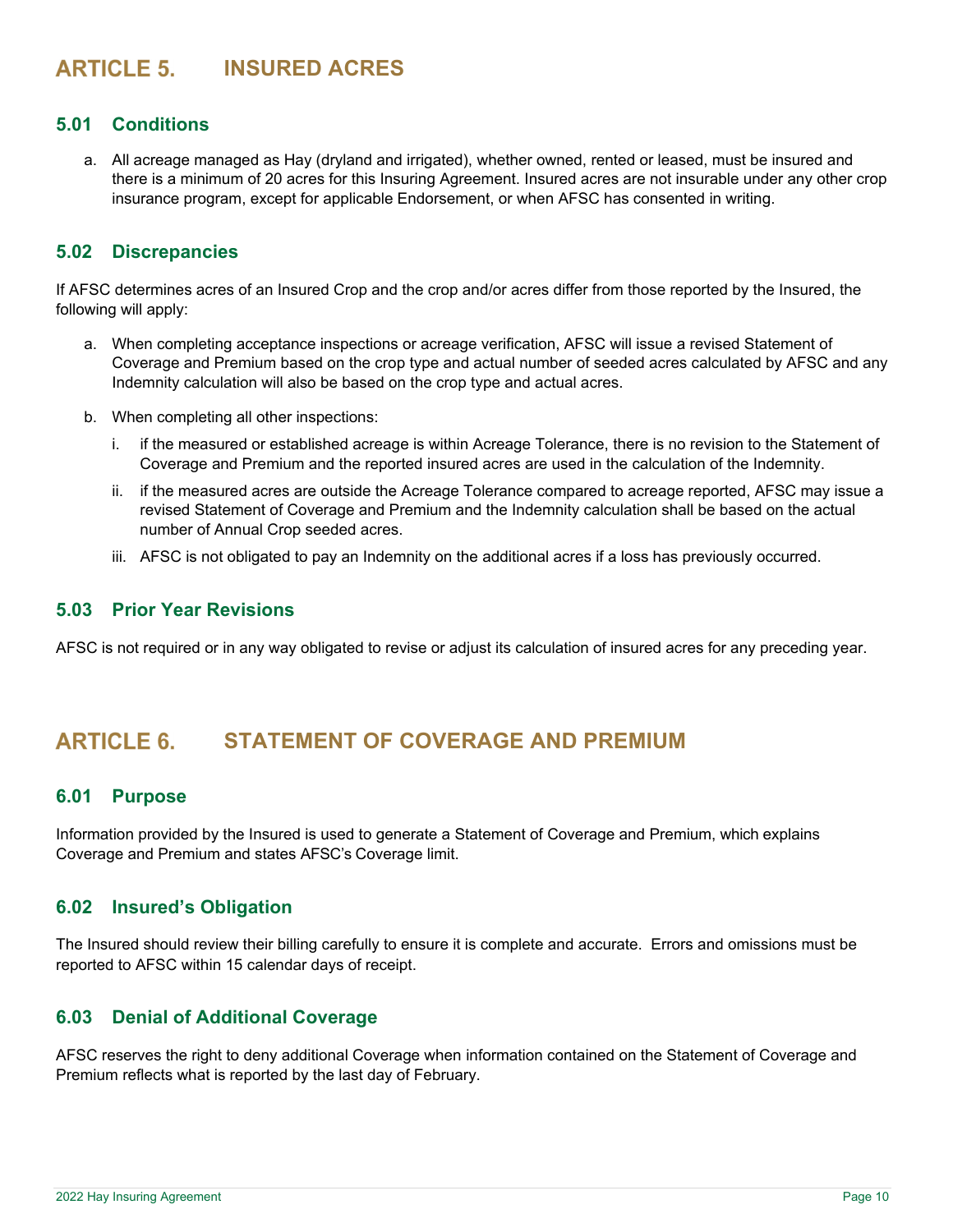## **INSURED ACRES**

## **5.01 Conditions**

a. All acreage managed as Hay (dryland and irrigated), whether owned, rented or leased, must be insured and there is a minimum of 20 acres for this Insuring Agreement. Insured acres are not insurable under any other crop insurance program, except for applicable Endorsement, or when AFSC has consented in writing.

#### **5.02 Discrepancies**

If AFSC determines acres of an Insured Crop and the crop and/or acres differ from those reported by the Insured, the following will apply:

- a. When completing acceptance inspections or acreage verification, AFSC will issue a revised Statement of Coverage and Premium based on the crop type and actual number of seeded acres calculated by AFSC and any Indemnity calculation will also be based on the crop type and actual acres.
- b. When completing all other inspections:
	- i. if the measured or established acreage is within Acreage Tolerance, there is no revision to the Statement of Coverage and Premium and the reported insured acres are used in the calculation of the Indemnity.
	- ii. if the measured acres are outside the Acreage Tolerance compared to acreage reported, AFSC may issue a revised Statement of Coverage and Premium and the Indemnity calculation shall be based on the actual number of Annual Crop seeded acres.
	- iii. AFSC is not obligated to pay an Indemnity on the additional acres if a loss has previously occurred.

## **5.03 Prior Year Revisions**

AFSC is not required or in any way obligated to revise or adjust its calculation of insured acres for any preceding year.

## **ARTICLE 6. STATEMENT OF COVERAGE AND PREMIUM**

#### **6.01 Purpose**

Information provided by the Insured is used to generate a Statement of Coverage and Premium, which explains Coverage and Premium and states AFSC's Coverage limit.

#### **6.02 Insured's Obligation**

The Insured should review their billing carefully to ensure it is complete and accurate. Errors and omissions must be reported to AFSC within 15 calendar days of receipt.

#### **6.03 Denial of Additional Coverage**

AFSC reserves the right to deny additional Coverage when information contained on the Statement of Coverage and Premium reflects what is reported by the last day of February.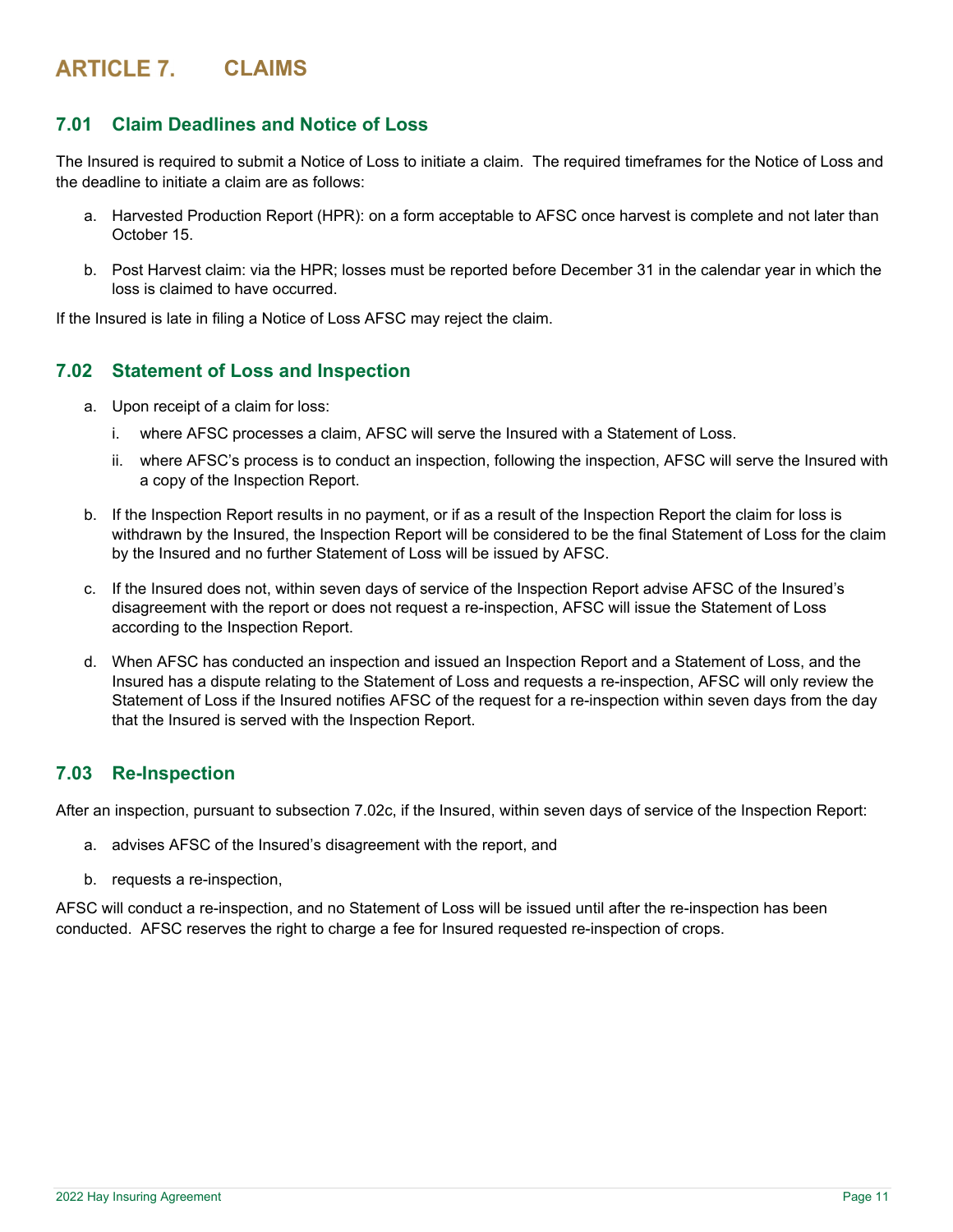## **ARTICLE 7. CLAIMS**

## **7.01 Claim Deadlines and Notice of Loss**

The Insured is required to submit a Notice of Loss to initiate a claim. The required timeframes for the Notice of Loss and the deadline to initiate a claim are as follows:

- a. Harvested Production Report (HPR): on a form acceptable to AFSC once harvest is complete and not later than October 15.
- b. Post Harvest claim: via the HPR; losses must be reported before December 31 in the calendar year in which the loss is claimed to have occurred.

If the Insured is late in filing a Notice of Loss AFSC may reject the claim.

## **7.02 Statement of Loss and Inspection**

- a. Upon receipt of a claim for loss:
	- i. where AFSC processes a claim, AFSC will serve the Insured with a Statement of Loss.
	- ii. where AFSC's process is to conduct an inspection, following the inspection, AFSC will serve the Insured with a copy of the Inspection Report.
- b. If the Inspection Report results in no payment, or if as a result of the Inspection Report the claim for loss is withdrawn by the Insured, the Inspection Report will be considered to be the final Statement of Loss for the claim by the Insured and no further Statement of Loss will be issued by AFSC.
- c. If the Insured does not, within seven days of service of the Inspection Report advise AFSC of the Insured's disagreement with the report or does not request a re-inspection, AFSC will issue the Statement of Loss according to the Inspection Report.
- d. When AFSC has conducted an inspection and issued an Inspection Report and a Statement of Loss, and the Insured has a dispute relating to the Statement of Loss and requests a re-inspection, AFSC will only review the Statement of Loss if the Insured notifies AFSC of the request for a re-inspection within seven days from the day that the Insured is served with the Inspection Report.

## **7.03 Re-Inspection**

After an inspection, pursuant to subsection 7.02c, if the Insured, within seven days of service of the Inspection Report:

- a. advises AFSC of the Insured's disagreement with the report, and
- b. requests a re-inspection,

AFSC will conduct a re-inspection, and no Statement of Loss will be issued until after the re-inspection has been conducted. AFSC reserves the right to charge a fee for Insured requested re-inspection of crops.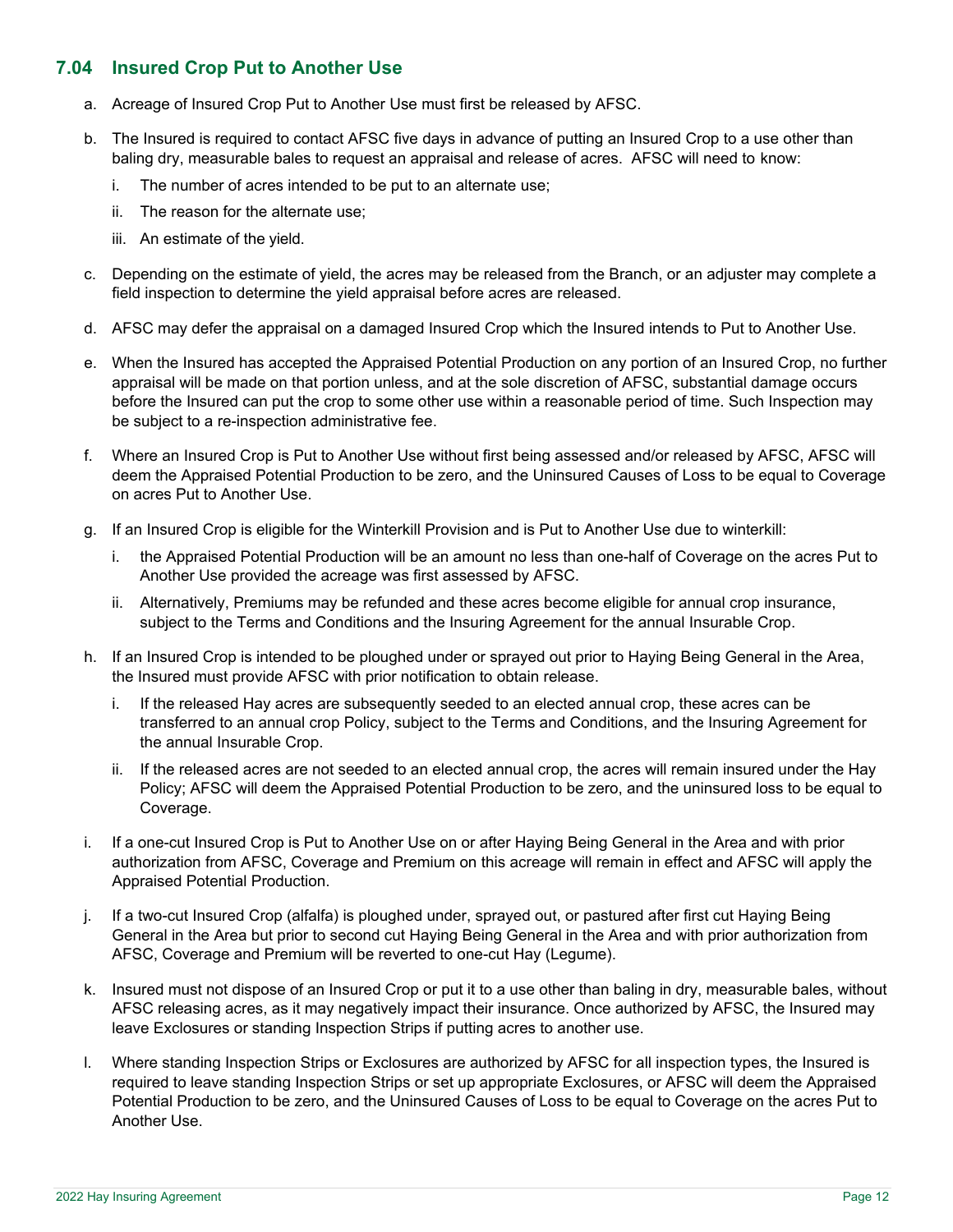## **7.04 Insured Crop Put to Another Use**

- a. Acreage of Insured Crop Put to Another Use must first be released by AFSC.
- b. The Insured is required to contact AFSC five days in advance of putting an Insured Crop to a use other than baling dry, measurable bales to request an appraisal and release of acres. AFSC will need to know:
	- i. The number of acres intended to be put to an alternate use;
	- ii. The reason for the alternate use;
	- iii. An estimate of the yield.
- c. Depending on the estimate of yield, the acres may be released from the Branch, or an adjuster may complete a field inspection to determine the yield appraisal before acres are released.
- d. AFSC may defer the appraisal on a damaged Insured Crop which the Insured intends to Put to Another Use.
- e. When the Insured has accepted the Appraised Potential Production on any portion of an Insured Crop, no further appraisal will be made on that portion unless, and at the sole discretion of AFSC, substantial damage occurs before the Insured can put the crop to some other use within a reasonable period of time. Such Inspection may be subject to a re-inspection administrative fee.
- f. Where an Insured Crop is Put to Another Use without first being assessed and/or released by AFSC, AFSC will deem the Appraised Potential Production to be zero, and the Uninsured Causes of Loss to be equal to Coverage on acres Put to Another Use.
- g. If an Insured Crop is eligible for the Winterkill Provision and is Put to Another Use due to winterkill:
	- i. the Appraised Potential Production will be an amount no less than one-half of Coverage on the acres Put to Another Use provided the acreage was first assessed by AFSC.
	- ii. Alternatively, Premiums may be refunded and these acres become eligible for annual crop insurance, subject to the Terms and Conditions and the Insuring Agreement for the annual Insurable Crop.
- h. If an Insured Crop is intended to be ploughed under or sprayed out prior to Haying Being General in the Area, the Insured must provide AFSC with prior notification to obtain release.
	- i. If the released Hay acres are subsequently seeded to an elected annual crop, these acres can be transferred to an annual crop Policy, subject to the Terms and Conditions, and the Insuring Agreement for the annual Insurable Crop.
	- ii. If the released acres are not seeded to an elected annual crop, the acres will remain insured under the Hay Policy; AFSC will deem the Appraised Potential Production to be zero, and the uninsured loss to be equal to Coverage.
- i. If a one-cut Insured Crop is Put to Another Use on or after Haying Being General in the Area and with prior authorization from AFSC, Coverage and Premium on this acreage will remain in effect and AFSC will apply the Appraised Potential Production.
- j. If a two-cut Insured Crop (alfalfa) is ploughed under, sprayed out, or pastured after first cut Haying Being General in the Area but prior to second cut Haying Being General in the Area and with prior authorization from AFSC, Coverage and Premium will be reverted to one-cut Hay (Legume).
- k. Insured must not dispose of an Insured Crop or put it to a use other than baling in dry, measurable bales, without AFSC releasing acres, as it may negatively impact their insurance. Once authorized by AFSC, the Insured may leave Exclosures or standing Inspection Strips if putting acres to another use.
- l. Where standing Inspection Strips or Exclosures are authorized by AFSC for all inspection types, the Insured is required to leave standing Inspection Strips or set up appropriate Exclosures, or AFSC will deem the Appraised Potential Production to be zero, and the Uninsured Causes of Loss to be equal to Coverage on the acres Put to Another Use.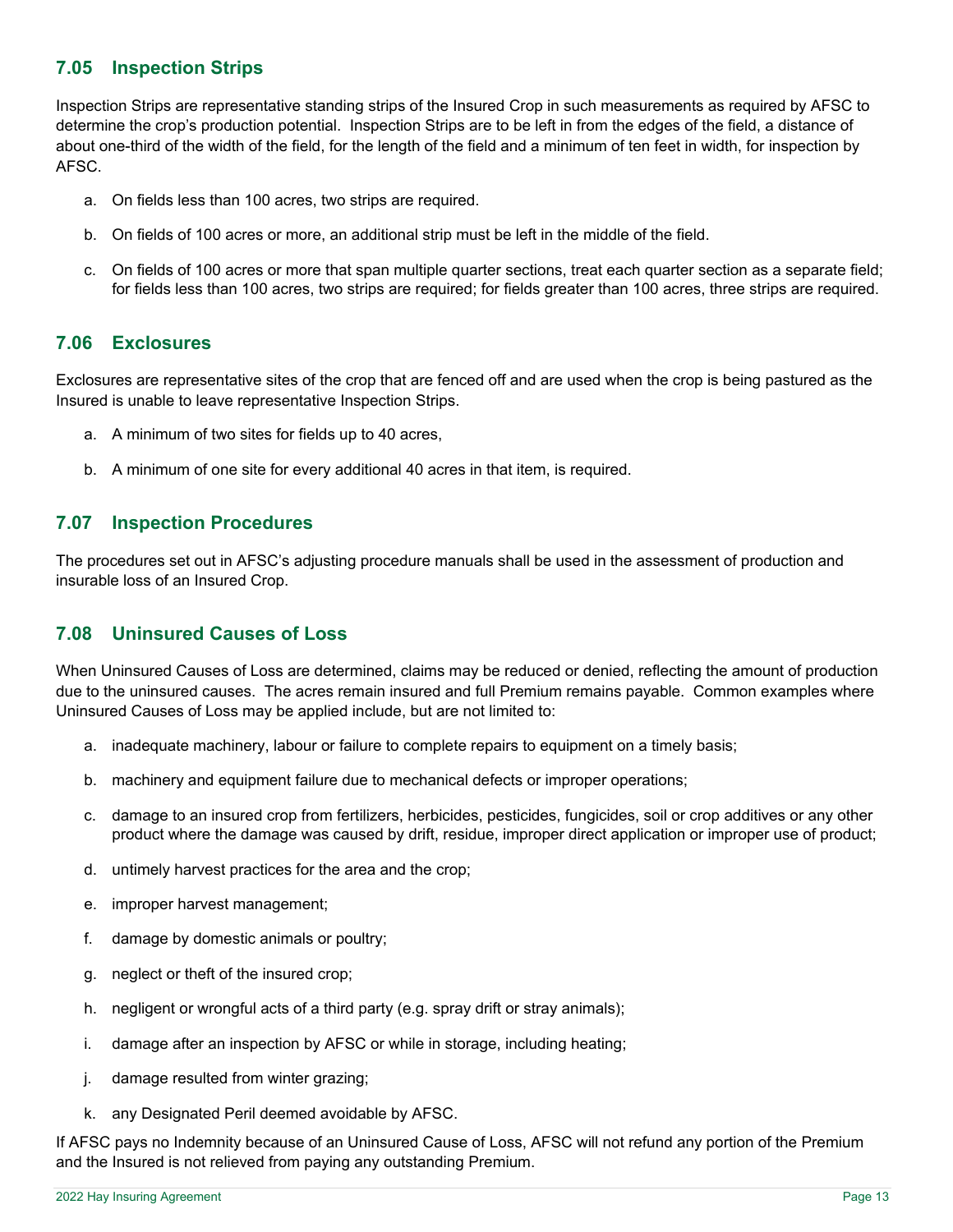## **7.05 Inspection Strips**

Inspection Strips are representative standing strips of the Insured Crop in such measurements as required by AFSC to determine the crop's production potential. Inspection Strips are to be left in from the edges of the field, a distance of about one-third of the width of the field, for the length of the field and a minimum of ten feet in width, for inspection by AFSC.

- a. On fields less than 100 acres, two strips are required.
- b. On fields of 100 acres or more, an additional strip must be left in the middle of the field.
- c. On fields of 100 acres or more that span multiple quarter sections, treat each quarter section as a separate field; for fields less than 100 acres, two strips are required; for fields greater than 100 acres, three strips are required.

## **7.06 Exclosures**

Exclosures are representative sites of the crop that are fenced off and are used when the crop is being pastured as the Insured is unable to leave representative Inspection Strips.

- a. A minimum of two sites for fields up to 40 acres,
- b. A minimum of one site for every additional 40 acres in that item, is required.

## **7.07 Inspection Procedures**

The procedures set out in AFSC's adjusting procedure manuals shall be used in the assessment of production and insurable loss of an Insured Crop.

## **7.08 Uninsured Causes of Loss**

When Uninsured Causes of Loss are determined, claims may be reduced or denied, reflecting the amount of production due to the uninsured causes. The acres remain insured and full Premium remains payable. Common examples where Uninsured Causes of Loss may be applied include, but are not limited to:

- a. inadequate machinery, labour or failure to complete repairs to equipment on a timely basis;
- b. machinery and equipment failure due to mechanical defects or improper operations;
- c. damage to an insured crop from fertilizers, herbicides, pesticides, fungicides, soil or crop additives or any other product where the damage was caused by drift, residue, improper direct application or improper use of product;
- d. untimely harvest practices for the area and the crop;
- e. improper harvest management;
- f. damage by domestic animals or poultry;
- g. neglect or theft of the insured crop;
- h. negligent or wrongful acts of a third party (e.g. spray drift or stray animals);
- i. damage after an inspection by AFSC or while in storage, including heating;
- j. damage resulted from winter grazing;
- k. any Designated Peril deemed avoidable by AFSC.

If AFSC pays no Indemnity because of an Uninsured Cause of Loss, AFSC will not refund any portion of the Premium and the Insured is not relieved from paying any outstanding Premium.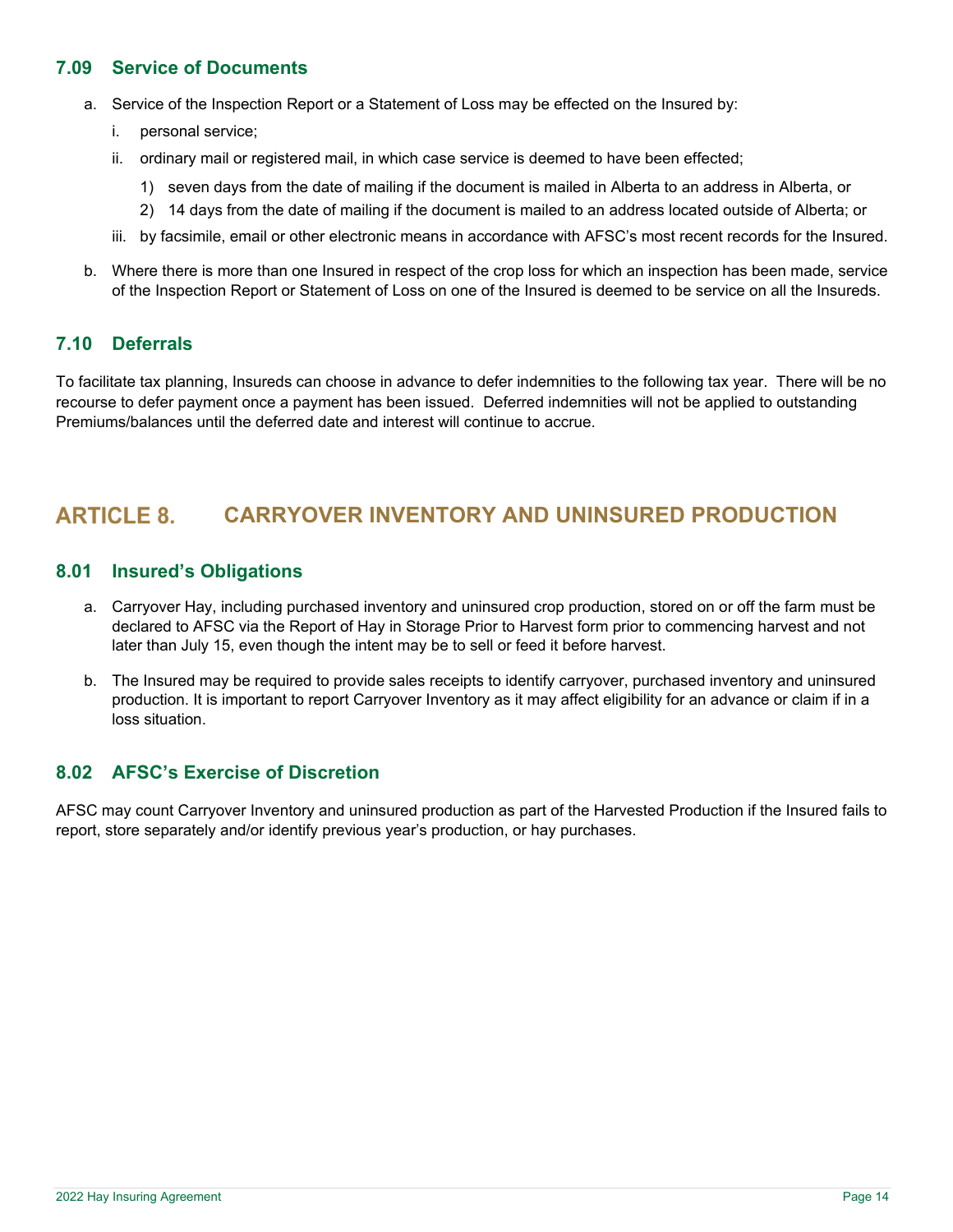## **7.09 Service of Documents**

- a. Service of the Inspection Report or a Statement of Loss may be effected on the Insured by:
	- i. personal service;
	- ii. ordinary mail or registered mail, in which case service is deemed to have been effected;
		- 1) seven days from the date of mailing if the document is mailed in Alberta to an address in Alberta, or
		- 2) 14 days from the date of mailing if the document is mailed to an address located outside of Alberta; or
	- iii. by facsimile, email or other electronic means in accordance with AFSC's most recent records for the Insured.
- b. Where there is more than one Insured in respect of the crop loss for which an inspection has been made, service of the Inspection Report or Statement of Loss on one of the Insured is deemed to be service on all the Insureds.

## **7.10 Deferrals**

To facilitate tax planning, Insureds can choose in advance to defer indemnities to the following tax year. There will be no recourse to defer payment once a payment has been issued. Deferred indemnities will not be applied to outstanding Premiums/balances until the deferred date and interest will continue to accrue.

## **ARTICLE 8. CARRYOVER INVENTORY AND UNINSURED PRODUCTION**

## **8.01 Insured's Obligations**

- a. Carryover Hay, including purchased inventory and uninsured crop production, stored on or off the farm must be declared to AFSC via the Report of Hay in Storage Prior to Harvest form prior to commencing harvest and not later than July 15, even though the intent may be to sell or feed it before harvest.
- b. The Insured may be required to provide sales receipts to identify carryover, purchased inventory and uninsured production. It is important to report Carryover Inventory as it may affect eligibility for an advance or claim if in a loss situation.

## **8.02 AFSC's Exercise of Discretion**

AFSC may count Carryover Inventory and uninsured production as part of the Harvested Production if the Insured fails to report, store separately and/or identify previous year's production, or hay purchases.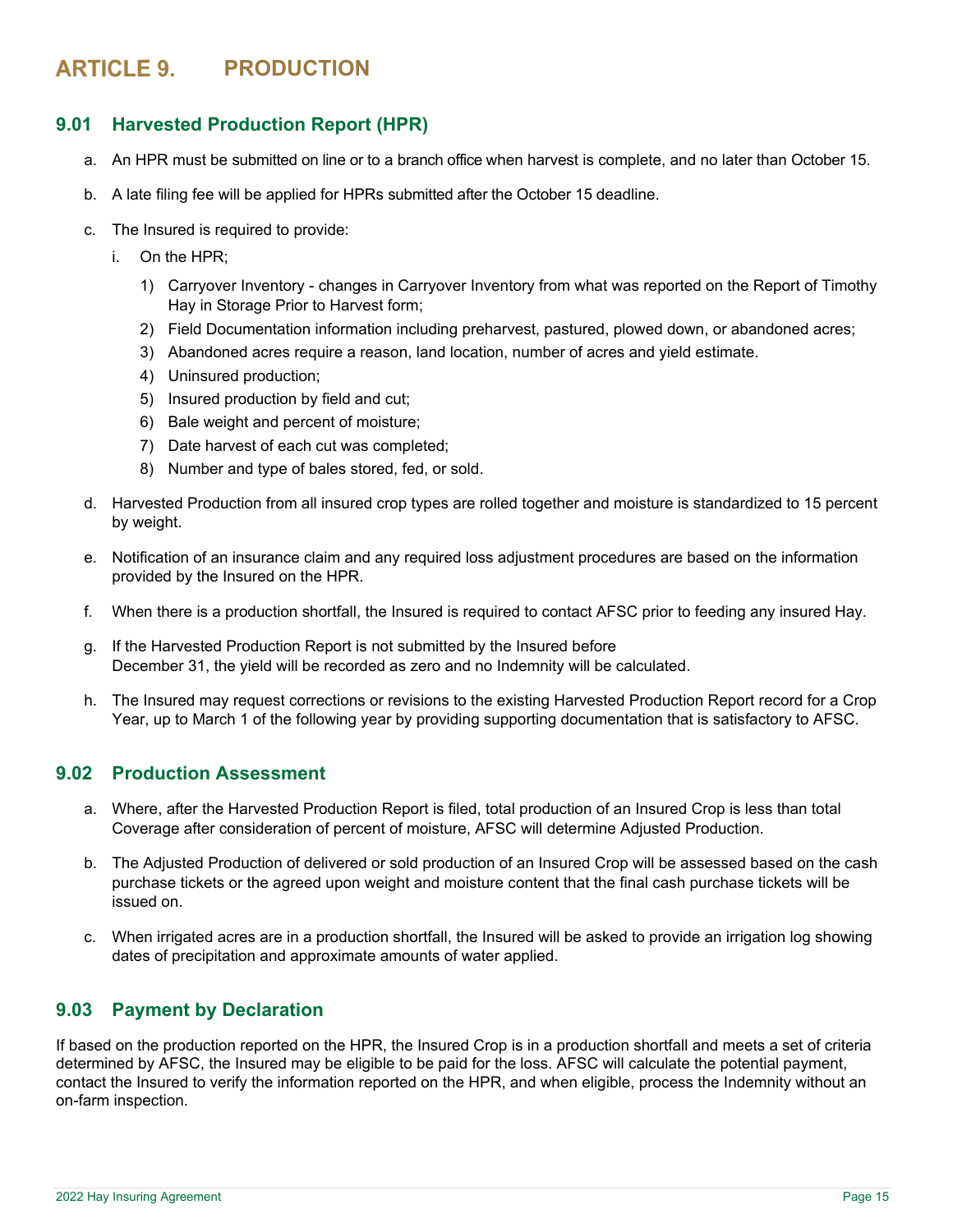## **ARTICLE 9. PRODUCTION**

## **9.01 Harvested Production Report (HPR)**

- a. An HPR must be submitted on line or to a branch office when harvest is complete, and no later than October 15.
- b. A late filing fee will be applied for HPRs submitted after the October 15 deadline.
- c. The Insured is required to provide:
	- i. On the HPR;
		- 1) Carryover Inventory changes in Carryover Inventory from what was reported on the Report of Timothy Hay in Storage Prior to Harvest form;
		- 2) Field Documentation information including preharvest, pastured, plowed down, or abandoned acres;
		- 3) Abandoned acres require a reason, land location, number of acres and yield estimate.
		- 4) Uninsured production;
		- 5) Insured production by field and cut;
		- 6) Bale weight and percent of moisture;
		- 7) Date harvest of each cut was completed;
		- 8) Number and type of bales stored, fed, or sold.
- d. Harvested Production from all insured crop types are rolled together and moisture is standardized to 15 percent by weight.
- e. Notification of an insurance claim and any required loss adjustment procedures are based on the information provided by the Insured on the HPR.
- f. When there is a production shortfall, the Insured is required to contact AFSC prior to feeding any insured Hay.
- g. If the Harvested Production Report is not submitted by the Insured before December 31, the yield will be recorded as zero and no Indemnity will be calculated.
- h. The Insured may request corrections or revisions to the existing Harvested Production Report record for a Crop Year, up to March 1 of the following year by providing supporting documentation that is satisfactory to AFSC.

## **9.02 Production Assessment**

- a. Where, after the Harvested Production Report is filed, total production of an Insured Crop is less than total Coverage after consideration of percent of moisture, AFSC will determine Adjusted Production.
- b. The Adjusted Production of delivered or sold production of an Insured Crop will be assessed based on the cash purchase tickets or the agreed upon weight and moisture content that the final cash purchase tickets will be issued on.
- c. When irrigated acres are in a production shortfall, the Insured will be asked to provide an irrigation log showing dates of precipitation and approximate amounts of water applied.

## **9.03 Payment by Declaration**

If based on the production reported on the HPR, the Insured Crop is in a production shortfall and meets a set of criteria determined by AFSC, the Insured may be eligible to be paid for the loss. AFSC will calculate the potential payment, contact the Insured to verify the information reported on the HPR, and when eligible, process the Indemnity without an on-farm inspection.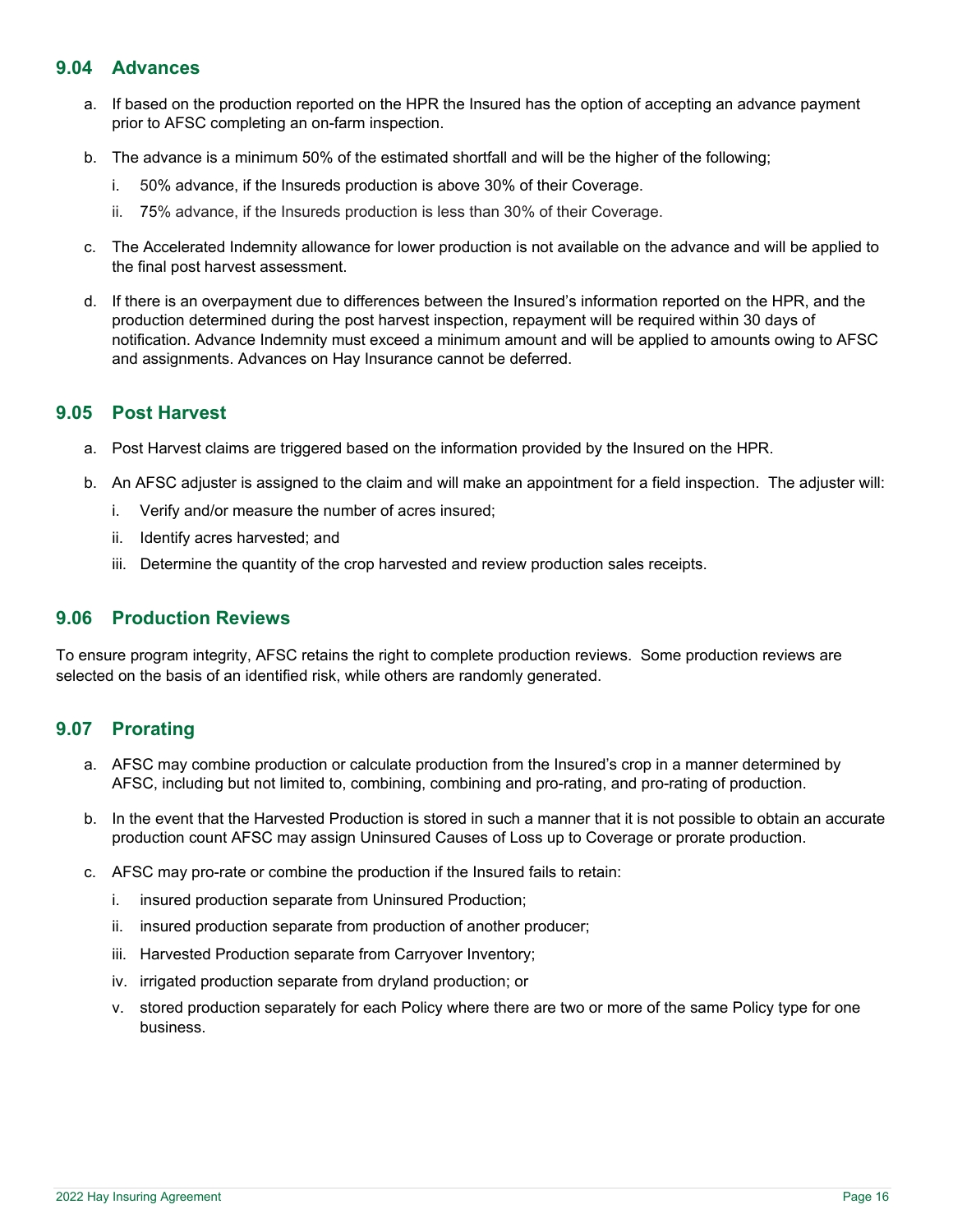## **9.04 Advances**

- a. If based on the production reported on the HPR the Insured has the option of accepting an advance payment prior to AFSC completing an on-farm inspection.
- b. The advance is a minimum 50% of the estimated shortfall and will be the higher of the following;
	- i. 50% advance, if the Insureds production is above 30% of their Coverage.
	- ii. 75% advance, if the Insureds production is less than 30% of their Coverage.
- c. The Accelerated Indemnity allowance for lower production is not available on the advance and will be applied to the final post harvest assessment.
- d. If there is an overpayment due to differences between the Insured's information reported on the HPR, and the production determined during the post harvest inspection, repayment will be required within 30 days of notification. Advance Indemnity must exceed a minimum amount and will be applied to amounts owing to AFSC and assignments. Advances on Hay Insurance cannot be deferred.

## **9.05 Post Harvest**

- a. Post Harvest claims are triggered based on the information provided by the Insured on the HPR.
- b. An AFSC adjuster is assigned to the claim and will make an appointment for a field inspection. The adjuster will:
	- i. Verify and/or measure the number of acres insured;
	- ii. Identify acres harvested; and
	- iii. Determine the quantity of the crop harvested and review production sales receipts.

## **9.06 Production Reviews**

To ensure program integrity, AFSC retains the right to complete production reviews. Some production reviews are selected on the basis of an identified risk, while others are randomly generated.

## **9.07 Prorating**

- a. AFSC may combine production or calculate production from the Insured's crop in a manner determined by AFSC, including but not limited to, combining, combining and pro-rating, and pro-rating of production.
- b. In the event that the Harvested Production is stored in such a manner that it is not possible to obtain an accurate production count AFSC may assign Uninsured Causes of Loss up to Coverage or prorate production.
- c. AFSC may pro-rate or combine the production if the Insured fails to retain:
	- i. insured production separate from Uninsured Production;
	- ii. insured production separate from production of another producer;
	- iii. Harvested Production separate from Carryover Inventory;
	- iv. irrigated production separate from dryland production; or
	- v. stored production separately for each Policy where there are two or more of the same Policy type for one business.